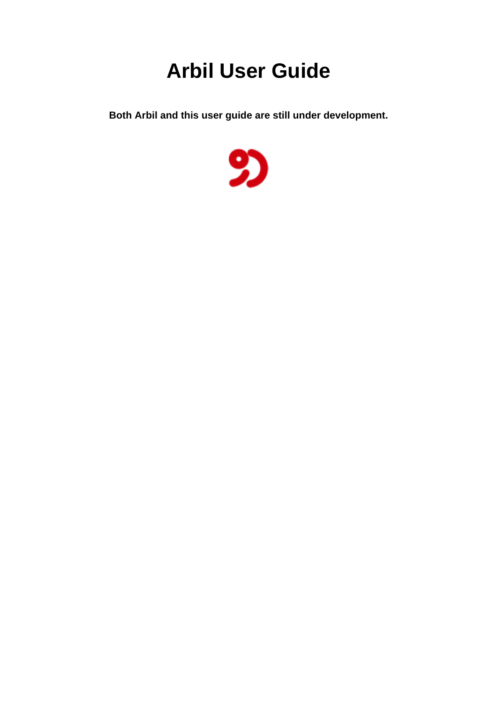## **Arbil User Guide**

**Both Arbil and this user guide are still under development.**

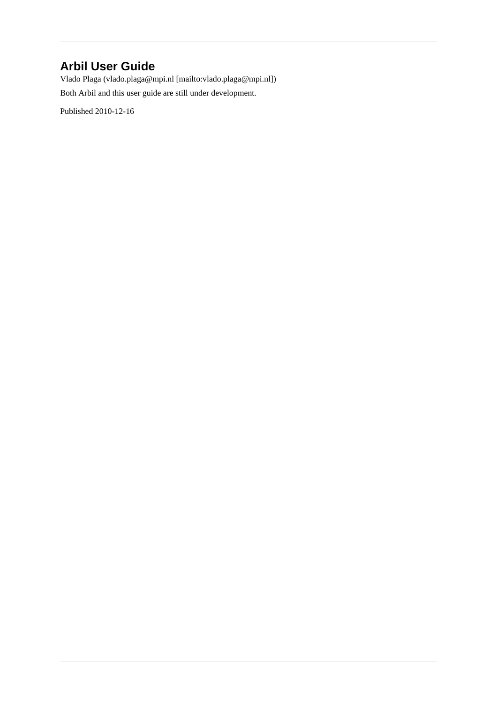#### **Arbil User Guide**

Vlado Plaga ([vlado.plaga@mpi.nl](mailto:vlado.plaga@mpi.nl) [\[mailto:vlado.plaga@mpi.nl](mailto:vlado.plaga@mpi.nl)]) Both Arbil and this user guide are still under development.

Published 2010-12-16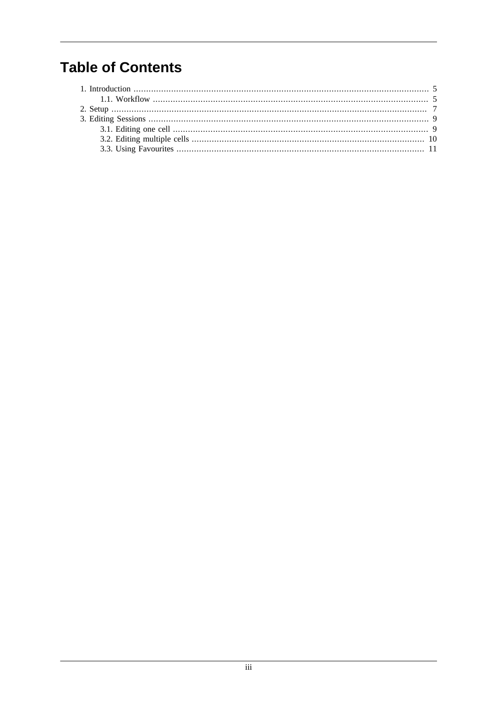#### **Table of Contents**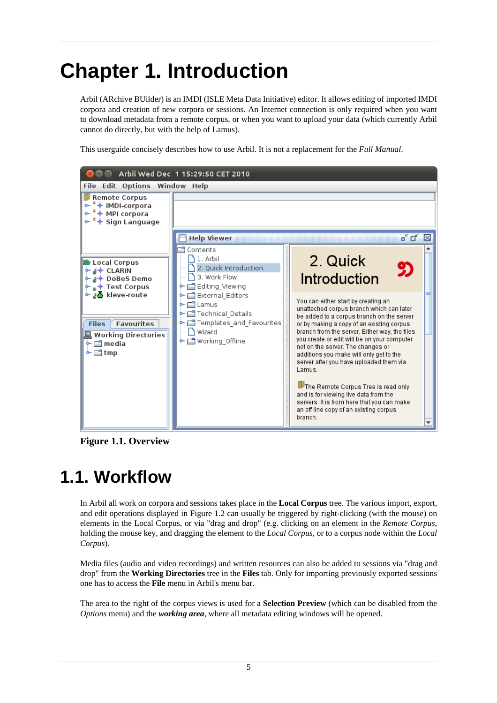# <span id="page-3-0"></span>**Chapter 1. Introduction**

Arbil (ARchive BUilder) is an IMDI (ISLE Meta Data Initiative) editor. It allows editing of imported IMDI corpora and creation of new corpora or sessions. An Internet connection is only required when you want to download metadata from a remote corpus, or when you want to upload your data (which currently Arbil cannot do directly, but with the help of Lamus).

This userguide concisely describes how to use Arbil. It is not a replacement for the *Full Manual*.



**Figure 1.1. Overview**

## **1.1. Workflow**

In Arbil all work on corpora and sessions takes place in the **Local Corpus** tree. The various import, export, and edit operations displayed in [Figure 1.2](#page-4-0) can usually be triggered by right-clicking (with the mouse) on elements in the Local Corpus, or via "drag and drop" (e.g. clicking on an element in the *Remote Corpus*, holding the mouse key, and dragging the element to the *Local Corpus*, or to a corpus node within the *Local Corpus*).

Media files (audio and video recordings) and written resources can also be added to sessions via "drag and drop" from the **Working Directories** tree in the **Files** tab. Only for importing previously exported sessions one has to access the **File** menu in Arbil's menu bar.

The area to the right of the corpus views is used for a **Selection Preview** (which can be disabled from the *Options* menu) and the *working area*, where all metadata editing windows will be opened.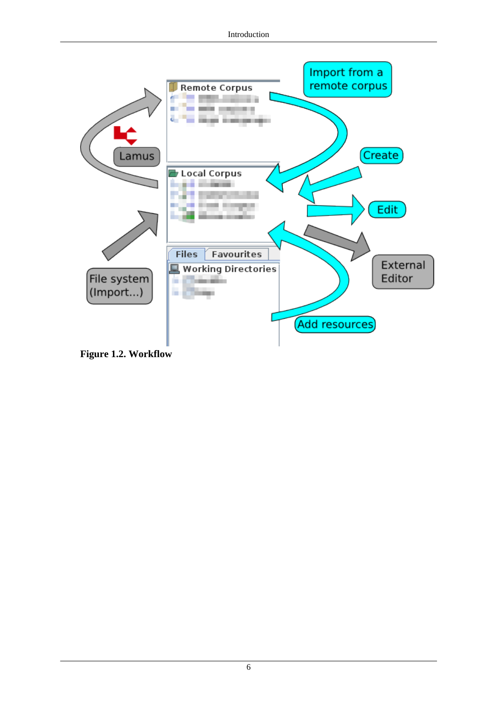<span id="page-4-0"></span>

**Figure 1.2. Workflow**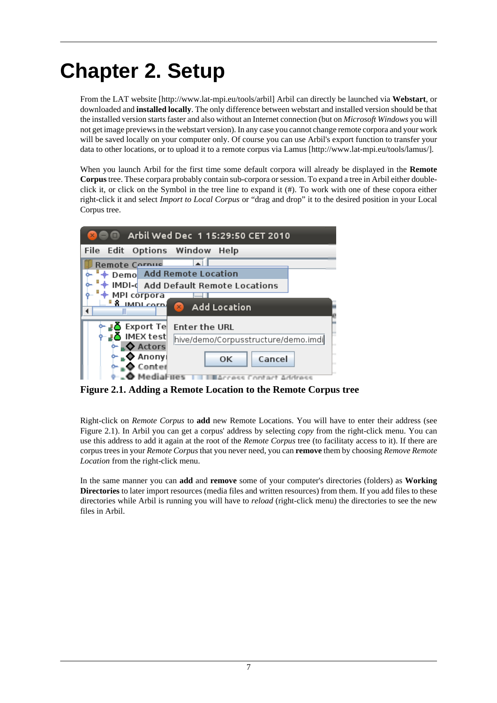## <span id="page-5-0"></span>**Chapter 2. Setup**

From the [LAT website](http://www.lat-mpi.eu/tools/arbil) [\[http://www.lat-mpi.eu/tools/arbil\]](http://www.lat-mpi.eu/tools/arbil) Arbil can directly be launched via **Webstart**, or downloaded and **installed locally**. The only difference between webstart and installed version should be that the installed version starts faster and also without an Internet connection (but on *Microsoft Windows* you will not get image previews in the webstart version). In any case you cannot change remote corpora and your work will be saved locally on your computer only. Of course you can use Arbil's export function to transfer your data to other locations, or to upload it to a remote corpus via [Lamus](http://www.lat-mpi.eu/tools/lamus/) [<http://www.lat-mpi.eu/tools/lamus/>].

When you launch Arbil for the first time some default corpora will already be displayed in the **Remote Corpus** tree. These corpara probably contain sub-corpora or session. To expand a tree in Arbil either doubleclick it, or click on the Symbol in the tree line to expand it (#). To work with one of these copora either right-click it and select *Import to Local Corpus* or "drag and drop" it to the desired position in your Local Corpus tree.



**Figure 2.1. Adding a Remote Location to the Remote Corpus tree**

Right-click on *Remote Corpus* to **add** new Remote Locations. You will have to enter their address (see [Figure 2.1\)](#page-5-0). In Arbil you can get a corpus' address by selecting *copy* from the right-click menu. You can use this address to add it again at the root of the *Remote Corpus* tree (to facilitaty access to it). If there are corpus trees in your *Remote Corpus* that you never need, you can **remove** them by choosing *Remove Remote Location* from the right-click menu.

In the same manner you can **add** and **remove** some of your computer's directories (folders) as **Working Directories** to later import resources (media files and written resources) from them. If you add files to these directories while Arbil is running you will have to *reload* (right-click menu) the directories to see the new files in Arbil.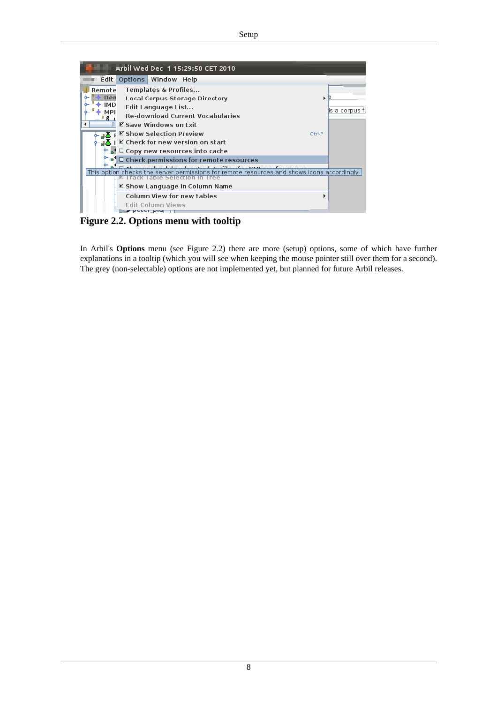<span id="page-6-0"></span>

**Figure 2.2. Options menu with tooltip**

In Arbil's **Options** menu (see [Figure 2.2\)](#page-6-0) there are more (setup) options, some of which have further explanations in a tooltip (which you will see when keeping the mouse pointer still over them for a second). The grey (non-selectable) options are not implemented yet, but planned for future Arbil releases.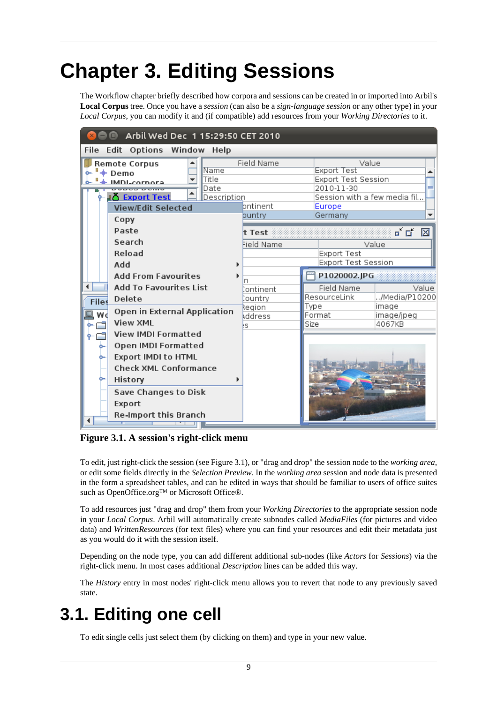## <span id="page-7-0"></span>**Chapter 3. Editing Sessions**

The Workflow chapter briefly described how corpora and sessions can be created in or imported into Arbil's **Local Corpus** tree. Once you have a *session* (can also be a *sign-language session* or any other type) in your *Local Corpus*, you can modify it and (if compatible) add resources from your *Working Directories* to it.

| Arbil Wed Dec 1 15:29:50 CET 2010<br>o                                                                                                                       |                                                                                                                            |                                              |                                                                                                                       |                                 |  |  |  |
|--------------------------------------------------------------------------------------------------------------------------------------------------------------|----------------------------------------------------------------------------------------------------------------------------|----------------------------------------------|-----------------------------------------------------------------------------------------------------------------------|---------------------------------|--|--|--|
| File Edit Options Window Help                                                                                                                                |                                                                                                                            |                                              |                                                                                                                       |                                 |  |  |  |
| <b>Remote Corpus</b><br>Name<br>$+$ Demo<br>Title<br>IMDL-corpore<br>Date<br>$\blacktriangle$<br>₽δ Export Test<br>Description<br>View/Edit Selected<br>Copy |                                                                                                                            | Field Name<br>bntinent<br>buntry             | Value<br><b>Export Test</b><br>Export Test Session<br>2010-11-30<br>Session with a few media fil<br>Europe<br>Germany |                                 |  |  |  |
|                                                                                                                                                              | Paste<br>Search<br>Reload<br>Add<br><b>Add From Favourites</b>                                                             | t Test<br>Field Name                         | Value<br>Export Test<br>Export Test Session                                                                           | ட்டி<br>区                       |  |  |  |
|                                                                                                                                                              |                                                                                                                            | ontinent<br>ountry<br>legion<br>Address<br>s | P1020002.JPG                                                                                                          |                                 |  |  |  |
| <b>Files</b><br>Wd<br>٥.<br>⊸                                                                                                                                | <b>Add To Favourites List</b><br>Delete                                                                                    |                                              | Field Name<br>ResourceLink<br>Type                                                                                    | Value<br>/Media/P10200<br>image |  |  |  |
|                                                                                                                                                              | Open in External Application<br><b>View XML</b>                                                                            |                                              | Format<br>Size                                                                                                        | image/jpeg<br>4067KB            |  |  |  |
|                                                                                                                                                              | <b>View IMDI Formatted</b><br>Open IMDI Formatted<br><b>Export IMDI to HTML</b><br><b>Check XML Conformance</b><br>History |                                              |                                                                                                                       |                                 |  |  |  |
|                                                                                                                                                              | Save Changes to Disk<br>Export<br><b>Re-Import this Branch</b>                                                             |                                              |                                                                                                                       |                                 |  |  |  |

**Figure 3.1. A session's right-click menu**

To edit, just right-click the session (see [Figure 3.1](#page-7-0)), or "drag and drop" the session node to the *working area*, or edit some fields directly in the *Selection Preview*. In the *working area* session and node data is presented in the form a spreadsheet tables, and can be edited in ways that should be familiar to users of office suites such as OpenOffice.org™ or Microsoft Office®.

To add resources just "drag and drop" them from your *Working Directories* to the appropriate session node in your *Local Corpus*. Arbil will automatically create subnodes called *MediaFiles* (for pictures and video data) and *WrittenResources* (for text files) where you can find your resources and edit their metadata just as you would do it with the session itself.

Depending on the node type, you can add different additional sub-nodes (like *Actors* for *Sessions*) via the right-click menu. In most cases additional *Description* lines can be added this way.

The *History* entry in most nodes' right-click menu allows you to revert that node to any previously saved state.

#### **3.1. Editing one cell**

To edit single cells just select them (by clicking on them) and type in your new value.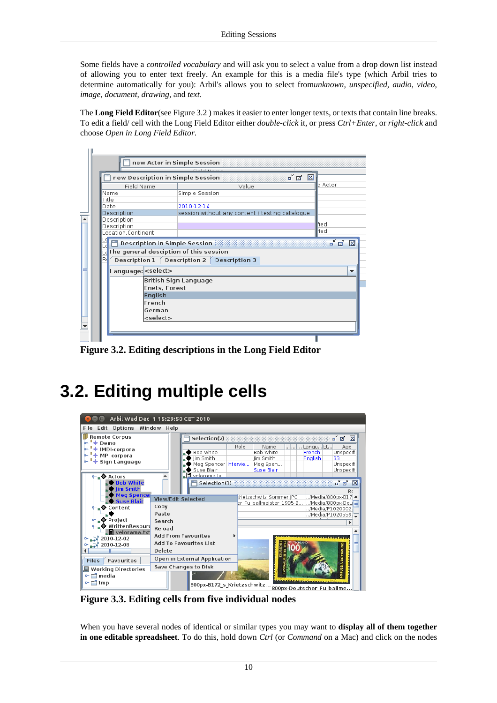<span id="page-8-0"></span>Some fields have a *controlled vocabulary* and will ask you to select a value from a drop down list instead of allowing you to enter text freely. An example for this is a media file's type (which Arbil tries to determine automatically for you): Arbil's allows you to select from*unknown, unspecified, audio, video, image, document, drawing*, and *text*.

The **Long Field Editor**(see [Figure 3.2](#page-8-0) ) makes it easier to enter longer texts, or texts that contain line breaks. To edit a field/ cell with the Long Field Editor either *double-click* it, or press *Ctrl+Enter*, or *right-click* and choose *Open in Long Field Editor*.

| new Description in Simple Session                                              | $\mathbf{a}^{\mathbf{v}}$ $\mathbf{a}$<br>⊠     |              |
|--------------------------------------------------------------------------------|-------------------------------------------------|--------------|
| Field Name                                                                     | Value                                           | d Actor      |
| lName                                                                          | Simple Session                                  |              |
| Title                                                                          |                                                 |              |
| Date                                                                           | 2010-12-14                                      |              |
| Description                                                                    | session without any content / testing catalogue |              |
| Description                                                                    |                                                 | Fied         |
| Description<br>Location.Continent                                              |                                                 | Fied         |
|                                                                                |                                                 |              |
| <b>Description in Simple Session</b><br>The general desciption of this session |                                                 | K.<br>ø<br>п |
| R<br>Description 1                                                             | Description 2<br><b>Description 3</b>           |              |
| Language: <select></select>                                                    |                                                 |              |
|                                                                                | <b>British Sign Language</b>                    |              |
| <b>Enets, Forest</b>                                                           |                                                 |              |
| <b>English</b>                                                                 |                                                 |              |
| French                                                                         |                                                 |              |
| German                                                                         |                                                 |              |

**Figure 3.2. Editing descriptions in the Long Field Editor**

## **3.2. Editing multiple cells**

| Arbil Wed Dec 1 15:29:50 CET 2010                              |                                                  |                                                                                                                                                                                       |  |  |  |  |  |  |
|----------------------------------------------------------------|--------------------------------------------------|---------------------------------------------------------------------------------------------------------------------------------------------------------------------------------------|--|--|--|--|--|--|
| File Edit Options Window Help                                  |                                                  |                                                                                                                                                                                       |  |  |  |  |  |  |
| <b>Remote Corpus</b>                                           | Selection(2)                                     | ≖้⊠ั<br>$\mathbf{\overline{X}}$                                                                                                                                                       |  |  |  |  |  |  |
| $+$ Demo<br>+ IMDI-corpora<br>+ MPI corpora<br>+ Sign Language | Bob White<br>Jim Smith<br>Suse Blair             | Role<br>Langu Et<br>Name<br>Age<br>Bob White<br>French<br>Unspecifil<br>English<br>Jim Smith<br>33<br>Meg Spencer Intervie<br>Unspecifi<br>Meg Spen<br><b>Suse Blair</b><br>Unspecifi |  |  |  |  |  |  |
| . <b>♦</b> Actors<br><b>Bob White</b>                          | $\blacksquare$ velorama.txt<br>▲<br>Selection(1) | o a<br>⊠                                                                                                                                                                              |  |  |  |  |  |  |
| Iim Smith                                                      |                                                  | Re                                                                                                                                                                                    |  |  |  |  |  |  |
| <b>Meg Spencer</b><br>.◆ Suse Blair                            | <b>View/Edit Selected</b>                        | Krietzschwitz Sommer.JPG<br>/Media/800px-B17 ▲<br>er Fu ballmeister 1995-B<br>/Media/800px-Deu                                                                                        |  |  |  |  |  |  |
| ⊾♦ Content                                                     | Copy<br>Paste                                    | /Media/P1020002.                                                                                                                                                                      |  |  |  |  |  |  |
| ⊾◆ Project                                                     | Search                                           | /Media/P1020559. <mark>_</mark>                                                                                                                                                       |  |  |  |  |  |  |
| ♦ WrittenResouro                                               | Reload                                           |                                                                                                                                                                                       |  |  |  |  |  |  |
| ⊾目 velorama.txt                                                | <b>Add From Favourites</b>                       |                                                                                                                                                                                       |  |  |  |  |  |  |
| 2010-12-02<br>$\geq 2010 - 12 - 08$                            | Add To Favourites List                           |                                                                                                                                                                                       |  |  |  |  |  |  |
|                                                                | Delete                                           |                                                                                                                                                                                       |  |  |  |  |  |  |
| Favourites<br><b>Files</b>                                     | Open in External Application                     | <b>DORTMU</b>                                                                                                                                                                         |  |  |  |  |  |  |
| <b>Working Directories</b>                                     | Save Changes to Disk                             |                                                                                                                                                                                       |  |  |  |  |  |  |
| $\blacksquare$ media                                           |                                                  |                                                                                                                                                                                       |  |  |  |  |  |  |
| o⊢⊑∃tmp<br>800px-B172 s Krietzschwitz                          |                                                  | 800ny-Doutscher Eu hallme                                                                                                                                                             |  |  |  |  |  |  |

**Figure 3.3. Editing cells from five individual nodes**

When you have several nodes of identical or similar types you may want to **display all of them together in one editable spreadsheet**. To do this, hold down *Ctrl* (or *Command* on a Mac) and click on the nodes